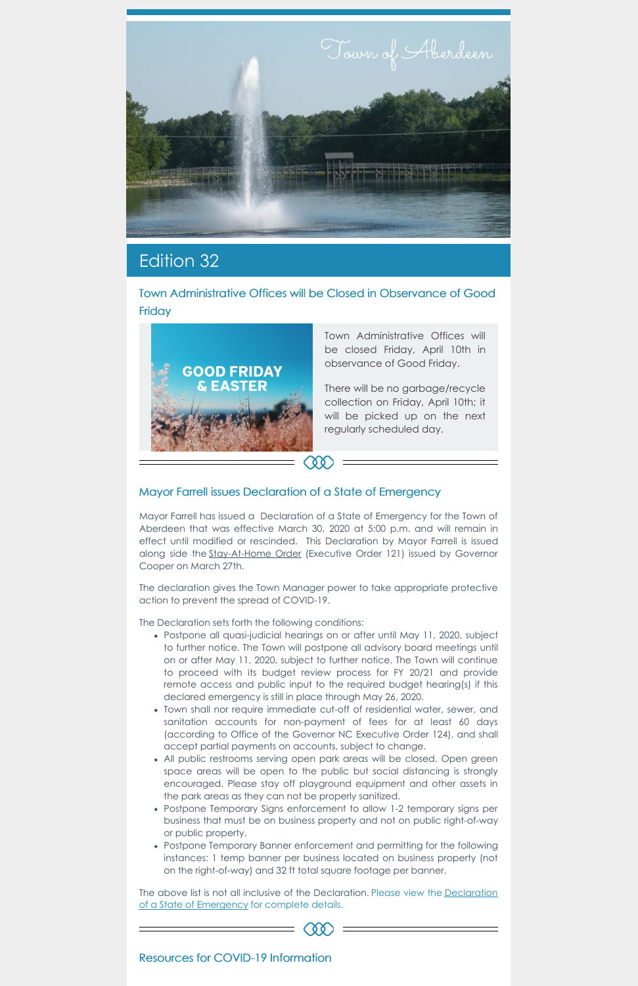

# Edition 32

Town Administrative Offices will be Closed in Observance of Good **Friday** 



Town Administrative Offices will be closed Friday, April 10th in observance of Good Friday.

There will be no garbage/recycle collection on Friday, April 10th; it will be picked up on the next regularly scheduled day.

## Mayor Farrell issues Declaration of a State of Emergency

Mayor Farrell has issued a Declaration of a State of Emergency for the Town of Aberdeen that was effective March 30, 2020 at 5:00 p.m. and will remain in effect until modified or rescinded. This Declaration by Mayor Farrell is issued along side the [Stay-At-Home](https://files.nc.gov/governor/documents/files/EO121-Stay-at-Home-Order-3.pdf) Order (Executive Order 121) issued by Governor Cooper on March 27th.

The declaration gives the Town Manager power to take appropriate protective action to prevent the spread of COVID-19.

The Declaration sets forth the following conditions:

The above list is not all inclusive of the [Declaration.](https://www.townofaberdeen.net/docview.aspx?docid=28610) Please view the Declaration of a State of Emergency for complete details.

- Postpone all quasi-judicial hearings on or after until May 11, 2020, subject to further notice. The Town will postpone all advisory board meetings until on or after May 11, 2020, subject to further notice. The Town will continue to proceed with its budget review process for FY 20/21 and provide remote access and public input to the required budget hearing(s) if this declared emergency is still in place through May 26, 2020.
- Town shall nor require immediate cut-off of residential water, sewer, and sanitation accounts for non-payment of fees for at least 60 days (according to Office of the Governor NC Executive Order 124), and shall accept partial payments on accounts, subject to change.
- All public restrooms serving open park areas will be closed. Open green space areas will be open to the public but social distancing is strongly encouraged. Please stay off playground equipment and other assets in the park areas as they can not be properly sanitized.
- Postpone Temporary Signs enforcement to allow 1-2 temporary signs per business that must be on business property and not on public right-of-way or public property.
- Postpone Temporary Banner enforcement and permitting for the following instances: 1 temp banner per business located on business property (not on the right-of-way) and 32 ft total square footage per banner.

Resources for COVID-19 Information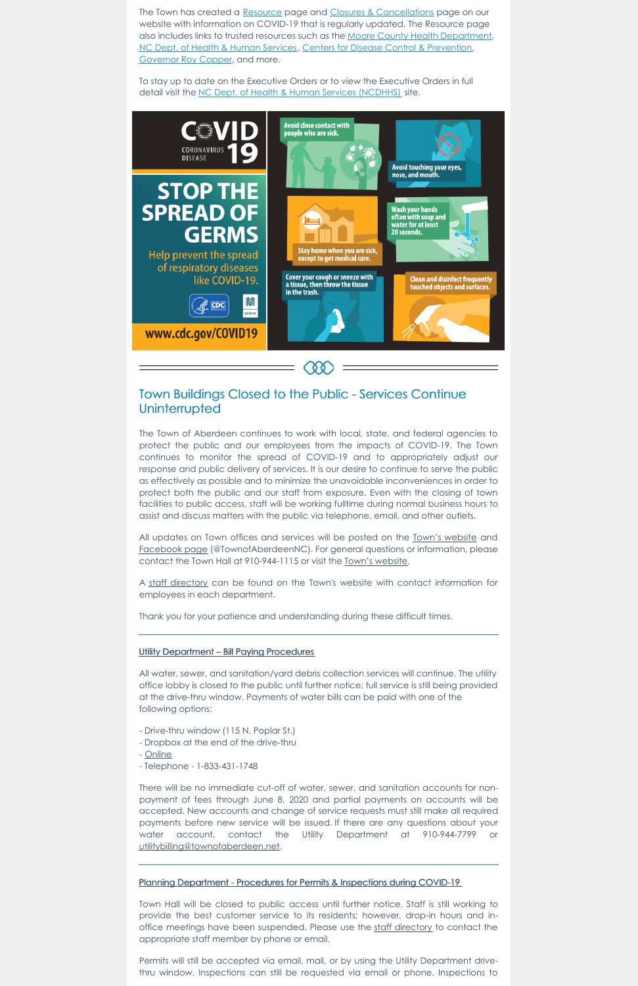The Town has created a [Resource](https://www.townofaberdeen.net/pview.aspx?id=20688&catid=25) page and Closures & [Cancellations](https://www.townofaberdeen.net/pview.aspx?id=20689&catid=25) page on our website with information on COVID-19 that is regularly updated. The Resource page also includes links to trusted resources such as the Moore County Health [Department](https://www.moorecountync.gov/health), NC Dept. of Health & Human [Services](https://www.ncdhhs.gov/), Centers for Disease Control & [Prevention,](https://www.cdc.gov/) [Governor](https://governor.nc.gov/) Roy Copper, and more.

To stay up to date on the Executive Orders or to view the Executive Orders in full detail visit the NC Dept. of Health & Human Services [\(NCDHHS\)](https://www.ncdhhs.gov/divisions/public-health/coronavirus-disease-2019-covid-19-response-north-carolina/executive-orders) site.



## Town Buildings Closed to the Public - Services Continue **Uninterrupted**

All updates on Town offices and services will be posted on the Town's [website](https://www.townofaberdeen.net/) and [Facebook](https://www.facebook.com/TownofAberdeenNC/) page (@TownofAberdeenNC). For general questions or information, please contact the Town Hall at 910-944-1115 or visit the Town's [website](https://www.townofaberdeen.net/).

The Town of Aberdeen continues to work with local, state, and federal agencies to protect the public and our employees from the impacts of COVID-19. The Town continues to monitor the spread of COVID-19 and to appropriately adjust our response and public delivery of services. It is our desire to continue to serve the public as effectively as possible and to minimize the unavoidable inconveniences in order to protect both the public and our staff from exposure. Even with the closing of town facilities to public access, staff will be working fulltime during normal business hours to assist and discuss matters with the public via telephone, email, and other outlets.

A staff [directory](https://www.townofaberdeen.net/staff.aspx?id=2084&catid=29) can be found on the Town's website with contact information for employees in each department.

Thank you for your patience and understanding during these difficult times.

#### Utility Department – Bill Paying Procedures

All water, sewer, and sanitation/yard debris collection services will continue. The utility office lobby is closed to the public until further notice; full service is still being provided at the drive-thru window. Payments of water bills can be paid with one of the following options:

- Drive-thru window (115 N. Poplar St.)
- Dropbox at the end of the drive-thru
- [Online](https://aberdeen.municipalcms.com/pview.aspx?id=3767&catID=70)
- Telephone 1-833-431-1748

There will be no immediate cut-off of water, sewer, and sanitation accounts for nonpayment of fees through June 8, 2020 and partial payments on accounts will be accepted. New accounts and change of service requests must still make all required payments before new service will be issued. If there are any questions about your water account, contact the Utility Department at 910-944-7799 or [utilitybilling@townofaberdeen.net](mailto:utilitybilling@townofaberdeen.net).

### Planning Department - Procedures for Permits & Inspections during COVID-19

Town Hall will be closed to public access until further notice. Staff is still working to provide the best customer service to its residents; however, drop-in hours and inoffice meetings have been suspended. Please use the staff [directory](https://www.townofaberdeen.net/staff.aspx?id=2084&catid=29) to contact the appropriate staff member by phone or email.

Permits will still be accepted via email, mail, or by using the Utility Department drivethru window. Inspections can still be requested via email or phone. Inspections to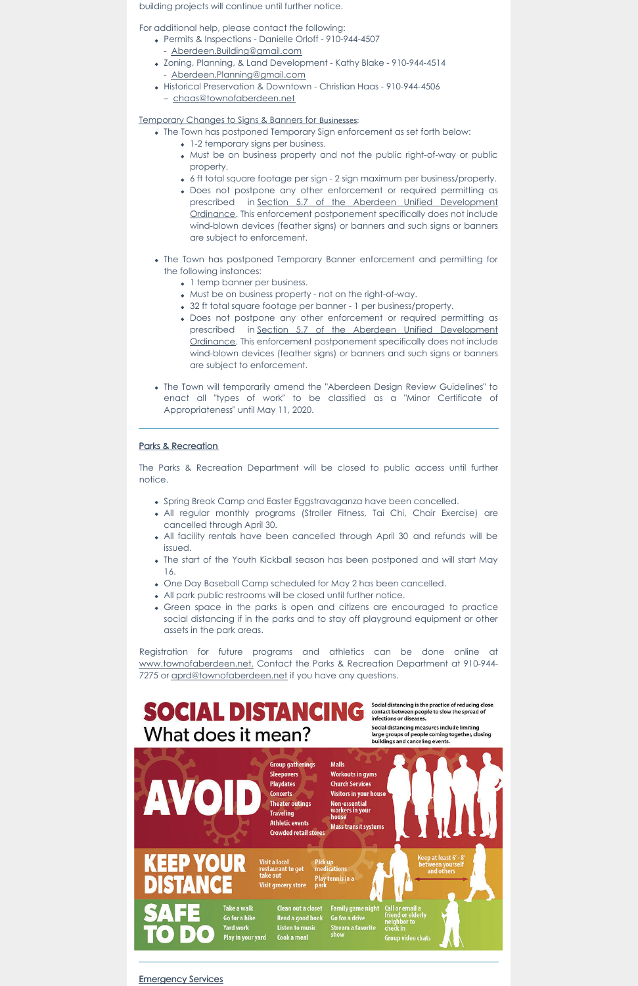building projects will continue until further notice.

For additional help, please contact the following:

- Permits & Inspections Danielle Orloff 910-944-4507 - [Aberdeen.Building@gmail.com](mailto:Aberdeen.Building@gmail.com)
- Zoning, Planning, & Land Development Kathy Blake 910-944-4514 - [Aberdeen.Planning@gmail.com](mailto:Aberdeen.Planning@gmail.com)
- Historical Preservation & Downtown Christian Haas 910-944-4506
	- [chaas@townofaberdeen.net](mailto:chaas@townofaberdeen.net)

Temporary Changes to Signs & Banners for Businesses:

- The Town has postponed Temporary Sign enforcement as set forth below:
	- 1-2 temporary signs per business.
	- Must be on business property and not the public right-of-way or public property.
	- 6 ft total square footage per sign 2 sign maximum per business/property.
	- Does not postpone any other enforcement or required permitting as prescribed in Section 5.7 of the Aberdeen Unified Development Ordinance. This enforcement [postponement](https://www.townofaberdeen.net/files/documents/UnifiedDevelopmentOrdinance135110104123019AM.pdf) specifically does not include wind-blown devices (feather signs) or banners and such signs or banners are subject to enforcement.
- The Town has postponed Temporary Banner enforcement and permitting for the following instances:
	- 1 temp banner per business.
	- Must be on business property not on the right-of-way.
	- 32 ft total square footage per banner 1 per business/property.
	- Does not postpone any other enforcement or required permitting as prescribed in Section 5.7 of the Aberdeen Unified Development Ordinance. This enforcement [postponement](https://www.townofaberdeen.net/files/documents/UnifiedDevelopmentOrdinance135110104123019AM.pdf) specifically does not include wind-blown devices (feather signs) or banners and such signs or banners are subject to enforcement.
- The Town will temporarily amend the "Aberdeen Design Review Guidelines" to enact all "types of work" to be classified as a "Minor Certificate of Appropriateness" until May 11, 2020.

Registration for future programs and athletics can be done online at [www.townofaberdeen.net.](https://www.townofaberdeen.net/default.aspx) Contact the Parks & Recreation Department at 910-944 7275 or [aprd@townofaberdeen.net](mailto:aprd@townofaberdeen.net) if you have any questions.



# What does it mean?

Social distancing measures include limiting large groups of people coming together, closing buildings and canceling events.



#### **Emergency Services**

### Parks & Recreation

The Parks & Recreation Department will be closed to public access until further notice.

- Spring Break Camp and Easter Eggstravaganza have been cancelled.
- All regular monthly programs (Stroller Fitness, Tai Chi, Chair Exercise) are cancelled through April 30.
- All facility rentals have been cancelled through April 30 and refunds will be issued.
- The start of the Youth Kickball season has been postponed and will start May 16.
- One Day Baseball Camp scheduled for May 2 has been cancelled.
- All park public restrooms will be closed until further notice.
- Green space in the parks is open and citizens are encouraged to practice social distancing if in the parks and to stay off playground equipment or other assets in the park areas.